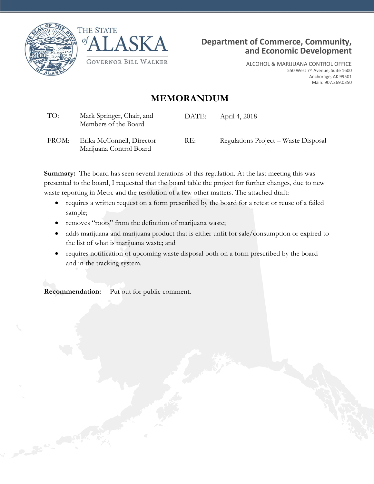



Marijuana Control Board



ALCOHOL & MARIJUANA CONTROL OFFICE 550 West 7th Avenue, Suite 1600 Anchorage, AK 99501 Main: 907.269.0350

# **MEMORANDUM**

| TO:   | Mark Springer, Chair, and<br>Members of the Board | DATE: | April 4, 2018                        |
|-------|---------------------------------------------------|-------|--------------------------------------|
| FROM: | Erika McConnell, Director                         | RE:   | Regulations Project – Waste Disposal |

**Summary:** The board has seen several iterations of this regulation. At the last meeting this was presented to the board, I requested that the board table the project for further changes, due to new waste reporting in Metrc and the resolution of a few other matters. The attached draft:

- requires a written request on a form prescribed by the board for a retest or reuse of a failed sample;
- removes "roots" from the definition of marijuana waste;
- adds marijuana and marijuana product that is either unfit for sale/consumption or expired to the list of what is marijuana waste; and
- requires notification of upcoming waste disposal both on a form prescribed by the board and in the tracking system.

**Recommendation:** Put out for public comment.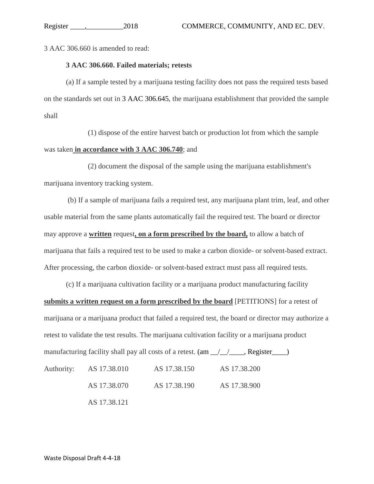3 AAC 306.660 is amended to read:

#### **3 AAC 306.660. Failed materials; retests**

(a) If a sample tested by a marijuana testing facility does not pass the required tests based on the standards set out in 3 AAC 306.645, the marijuana establishment that provided the sample shall

(1) dispose of the entire harvest batch or production lot from which the sample was taken **in accordance with 3 AAC 306.740**; and

(2) document the disposal of the sample using the marijuana establishment's marijuana inventory tracking system.

(b) If a sample of marijuana fails a required test, any marijuana plant trim, leaf, and other usable material from the same plants automatically fail the required test. The board or director may approve a **written** request**, on a form prescribed by the board,** to allow a batch of marijuana that fails a required test to be used to make a carbon dioxide- or solvent-based extract. After processing, the carbon dioxide- or solvent-based extract must pass all required tests.

(c) If a marijuana cultivation facility or a marijuana product manufacturing facility **submits a written request on a form prescribed by the board** [PETITIONS] for a retest of marijuana or a marijuana product that failed a required test, the board or director may authorize a retest to validate the test results. The marijuana cultivation facility or a marijuana product manufacturing facility shall pay all costs of a retest.  $(am_{\perp}/\perp_{\perp}$ , Register Authority: AS 17.38.010 AS 17.38.150 AS 17.38.200 AS 17.38.070 AS 17.38.190 AS 17.38.900 AS 17.38.121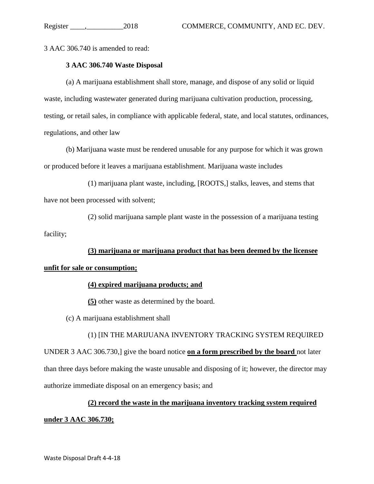3 AAC 306.740 is amended to read:

### **3 AAC 306.740 Waste Disposal**

(a) A marijuana establishment shall store, manage, and dispose of any solid or liquid waste, including wastewater generated during marijuana cultivation production, processing, testing, or retail sales, in compliance with applicable federal, state, and local statutes, ordinances, regulations, and other law

(b) Marijuana waste must be rendered unusable for any purpose for which it was grown or produced before it leaves a marijuana establishment. Marijuana waste includes

(1) marijuana plant waste, including, [ROOTS,] stalks, leaves, and stems that have not been processed with solvent;

(2) solid marijuana sample plant waste in the possession of a marijuana testing facility;

**(3) marijuana or marijuana product that has been deemed by the licensee unfit for sale or consumption;**

#### **(4) expired marijuana products; and**

**(5)** other waste as determined by the board.

(c) A marijuana establishment shall

(1) [IN THE MARIJUANA INVENTORY TRACKING SYSTEM REQUIRED UNDER 3 AAC 306.730,] give the board notice **on a form prescribed by the board** not later than three days before making the waste unusable and disposing of it; however, the director may authorize immediate disposal on an emergency basis; and

## **(2) record the waste in the marijuana inventory tracking system required**

#### **under 3 AAC 306.730;**